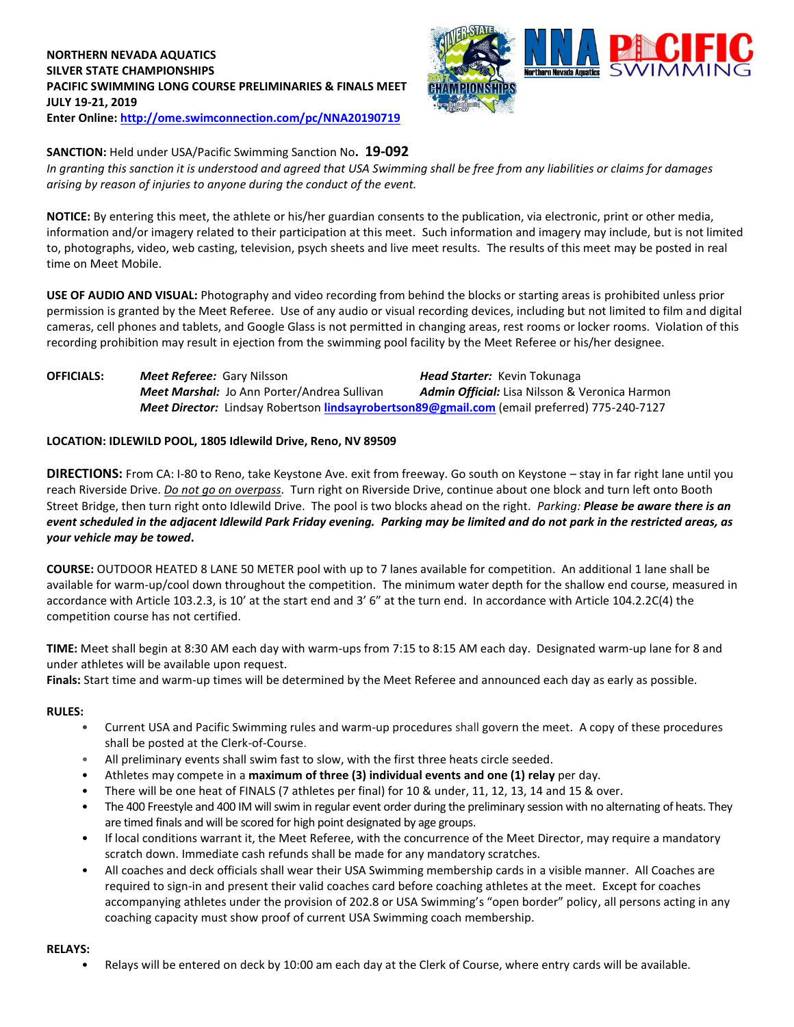## **NORTHERN NEVADA AQUATICS SILVER STATE CHAMPIONSHIPS PACIFIC SWIMMING LONG COURSE PRELIMINARIES & FINALS MEET JULY 19-21, 2019 Enter Online: <http://ome.swimconnection.com/pc/NNA20190719>**



#### **SANCTION:** Held under USA/Pacific Swimming Sanction No**. 19-092**

*In granting this sanction it is understood and agreed that USA Swimming shall be free from any liabilities or claims for damages arising by reason of injuries to anyone during the conduct of the event.*

**NOTICE:** By entering this meet, the athlete or his/her guardian consents to the publication, via electronic, print or other media, information and/or imagery related to their participation at this meet. Such information and imagery may include, but is not limited to, photographs, video, web casting, television, psych sheets and live meet results. The results of this meet may be posted in real time on Meet Mobile.

**USE OF AUDIO AND VISUAL:** Photography and video recording from behind the blocks or starting areas is prohibited unless prior permission is granted by the Meet Referee. Use of any audio or visual recording devices, including but not limited to film and digital cameras, cell phones and tablets, and Google Glass is not permitted in changing areas, rest rooms or locker rooms. Violation of this recording prohibition may result in ejection from the swimming pool facility by the Meet Referee or his/her designee.

## **OFFICIALS:** *Meet Referee:* Gary Nilsson *Head Starter:* Kevin Tokunaga *Meet Marshal:* Jo Ann Porter/Andrea Sullivan *Admin Official:* Lisa Nilsson & Veronica Harmon *Meet Director:* Lindsay Robertson **[lindsayrobertson89@gmail.com](mailto:lindsayrobertson89@gmail.com)** (email preferred) 775-240-7127

#### **LOCATION: IDLEWILD POOL, 1805 Idlewild Drive, Reno, NV 89509**

**DIRECTIONS:** From CA: I-80 to Reno, take Keystone Ave. exit from freeway. Go south on Keystone – stay in far right lane until you reach Riverside Drive. *Do not go on overpass.* Turn right on Riverside Drive, continue about one block and turn left onto Booth Street Bridge, then turn right onto Idlewild Drive. The pool is two blocks ahead on the right. *Parking: Please be aware there is an event scheduled in the adjacent Idlewild Park Friday evening. Parking may be limited and do not park in the restricted areas, as your vehicle may be towed***.**

**COURSE:** OUTDOOR HEATED 8 LANE 50 METER pool with up to 7 lanes available for competition. An additional 1 lane shall be available for warm-up/cool down throughout the competition. The minimum water depth for the shallow end course, measured in accordance with Article 103.2.3, is 10' at the start end and 3' 6" at the turn end. In accordance with Article 104.2.2C(4) the competition course has not certified.

**TIME:** Meet shall begin at 8:30 AM each day with warm-ups from 7:15 to 8:15 AM each day. Designated warm-up lane for 8 and under athletes will be available upon request.

**Finals:** Start time and warm-up times will be determined by the Meet Referee and announced each day as early as possible.

#### **RULES:**

- Current USA and Pacific Swimming rules and warm-up procedures shall govern the meet. A copy of these procedures shall be posted at the Clerk-of-Course.
- All preliminary events shall swim fast to slow, with the first three heats circle seeded.
- Athletes may compete in a **maximum of three (3) individual events and one (1) relay** per day.
- There will be one heat of FINALS (7 athletes per final) for 10 & under, 11, 12, 13, 14 and 15 & over.
- The 400 Freestyle and 400 IM will swim in regular event order during the preliminary session with no alternating of heats. They are timed finals and will be scored for high point designated by age groups.
- If local conditions warrant it, the Meet Referee, with the concurrence of the Meet Director, may require a mandatory scratch down. Immediate cash refunds shall be made for any mandatory scratches.
- All coaches and deck officials shall wear their USA Swimming membership cards in a visible manner. All Coaches are required to sign-in and present their valid coaches card before coaching athletes at the meet. Except for coaches accompanying athletes under the provision of 202.8 or USA Swimming's "open border" policy, all persons acting in any coaching capacity must show proof of current USA Swimming coach membership.

#### **RELAYS:**

• Relays will be entered on deck by 10:00 am each day at the Clerk of Course, where entry cards will be available.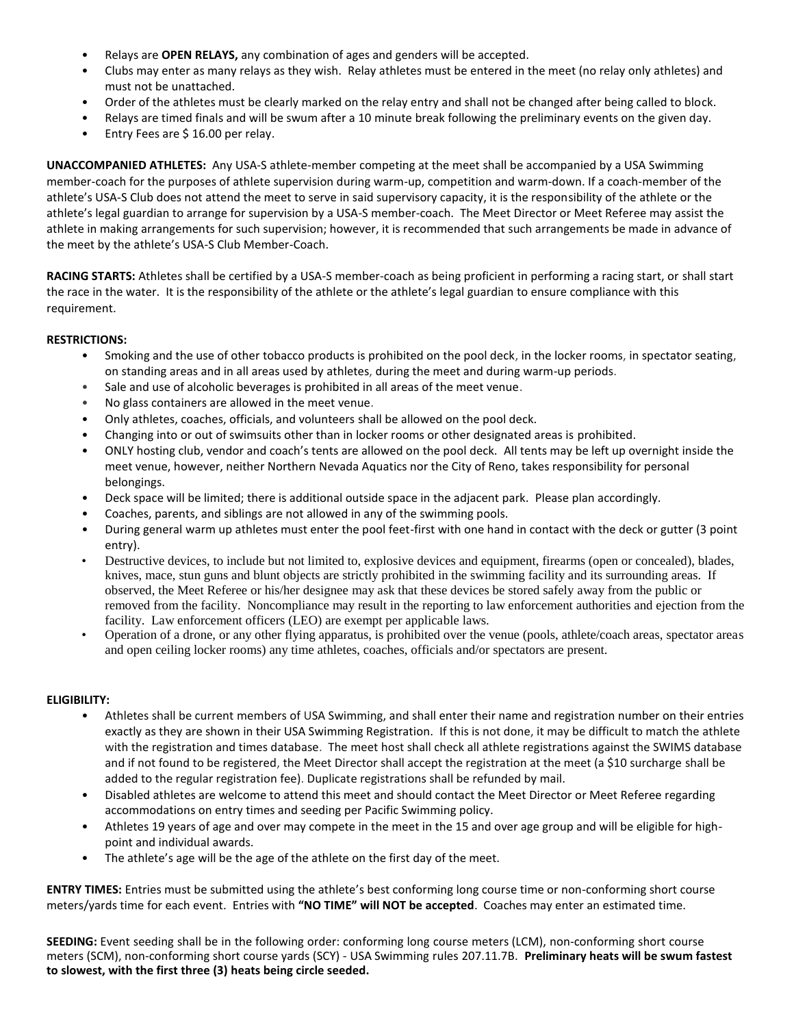- Relays are **OPEN RELAYS,** any combination of ages and genders will be accepted.
- Clubs may enter as many relays as they wish. Relay athletes must be entered in the meet (no relay only athletes) and must not be unattached.
- Order of the athletes must be clearly marked on the relay entry and shall not be changed after being called to block.
- Relays are timed finals and will be swum after a 10 minute break following the preliminary events on the given day.
- Entry Fees are \$ 16.00 per relay.

**UNACCOMPANIED ATHLETES:** Any USA-S athlete-member competing at the meet shall be accompanied by a USA Swimming member-coach for the purposes of athlete supervision during warm-up, competition and warm-down. If a coach-member of the athlete's USA-S Club does not attend the meet to serve in said supervisory capacity, it is the responsibility of the athlete or the athlete's legal guardian to arrange for supervision by a USA-S member-coach. The Meet Director or Meet Referee may assist the athlete in making arrangements for such supervision; however, it is recommended that such arrangements be made in advance of the meet by the athlete's USA-S Club Member-Coach.

**RACING STARTS:** Athletes shall be certified by a USA-S member-coach as being proficient in performing a racing start, or shall start the race in the water. It is the responsibility of the athlete or the athlete's legal guardian to ensure compliance with this requirement.

#### **RESTRICTIONS:**

- Smoking and the use of other tobacco products is prohibited on the pool deck, in the locker rooms, in spectator seating, on standing areas and in all areas used by athletes, during the meet and during warm-up periods.
- Sale and use of alcoholic beverages is prohibited in all areas of the meet venue.
- No glass containers are allowed in the meet venue.
- Only athletes, coaches, officials, and volunteers shall be allowed on the pool deck.
- Changing into or out of swimsuits other than in locker rooms or other designated areas is prohibited.
- ONLY hosting club, vendor and coach's tents are allowed on the pool deck. All tents may be left up overnight inside the meet venue, however, neither Northern Nevada Aquatics nor the City of Reno, takes responsibility for personal belongings.
- Deck space will be limited; there is additional outside space in the adjacent park. Please plan accordingly.
- Coaches, parents, and siblings are not allowed in any of the swimming pools.
- During general warm up athletes must enter the pool feet-first with one hand in contact with the deck or gutter (3 point entry).
- Destructive devices, to include but not limited to, explosive devices and equipment, firearms (open or concealed), blades, knives, mace, stun guns and blunt objects are strictly prohibited in the swimming facility and its surrounding areas. If observed, the Meet Referee or his/her designee may ask that these devices be stored safely away from the public or removed from the facility. Noncompliance may result in the reporting to law enforcement authorities and ejection from the facility. Law enforcement officers (LEO) are exempt per applicable laws.
- Operation of a drone, or any other flying apparatus, is prohibited over the venue (pools, athlete/coach areas, spectator areas and open ceiling locker rooms) any time athletes, coaches, officials and/or spectators are present.

### **ELIGIBILITY:**

- Athletes shall be current members of USA Swimming, and shall enter their name and registration number on their entries exactly as they are shown in their USA Swimming Registration. If this is not done, it may be difficult to match the athlete with the registration and times database. The meet host shall check all athlete registrations against the SWIMS database and if not found to be registered, the Meet Director shall accept the registration at the meet (a \$10 surcharge shall be added to the regular registration fee). Duplicate registrations shall be refunded by mail.
- Disabled athletes are welcome to attend this meet and should contact the Meet Director or Meet Referee regarding accommodations on entry times and seeding per Pacific Swimming policy.
- Athletes 19 years of age and over may compete in the meet in the 15 and over age group and will be eligible for highpoint and individual awards.
- The athlete's age will be the age of the athlete on the first day of the meet.

**ENTRY TIMES:** Entries must be submitted using the athlete's best conforming long course time or non-conforming short course meters/yards time for each event. Entries with **"NO TIME" will NOT be accepted**. Coaches may enter an estimated time.

**SEEDING:** Event seeding shall be in the following order: conforming long course meters (LCM), non-conforming short course meters (SCM), non-conforming short course yards (SCY) - USA Swimming rules 207.11.7B. **Preliminary heats will be swum fastest to slowest, with the first three (3) heats being circle seeded.**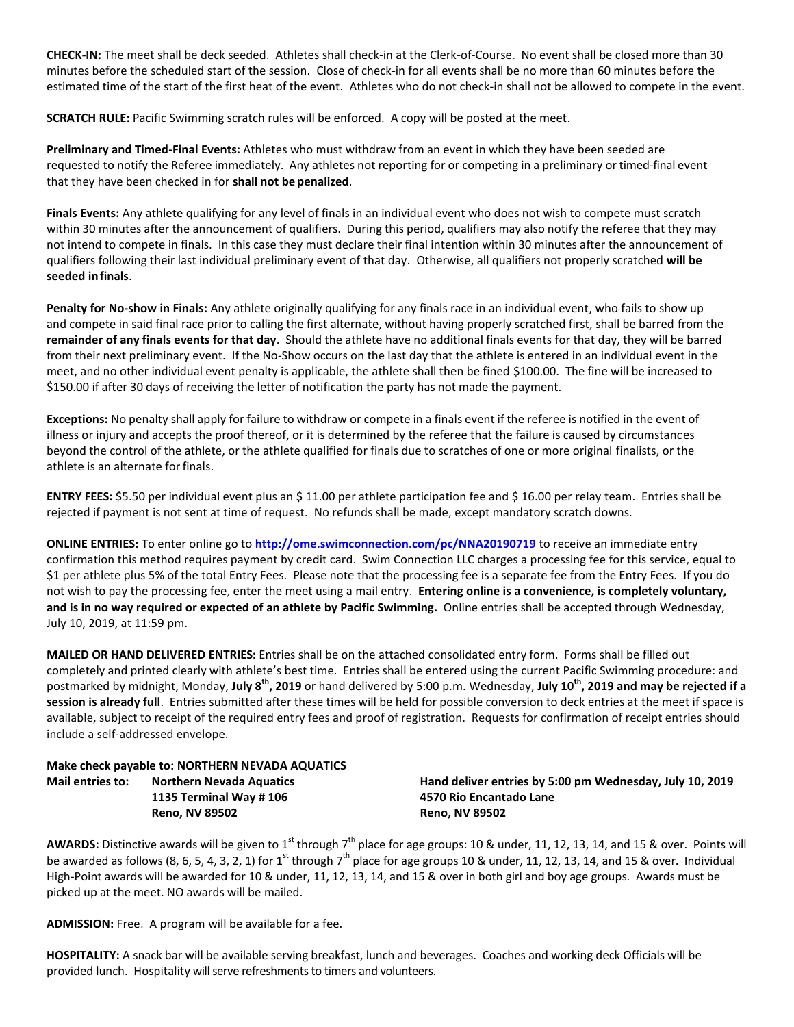**CHECK-IN:** The meet shall be deck seeded. Athletes shall check-in at the Clerk-of-Course. No event shall be closed more than 30 minutes before the scheduled start of the session. Close of check‐in for all events shall be no more than 60 minutes before the estimated time of the start of the first heat of the event. Athletes who do not check-in shall not be allowed to compete in the event.

**SCRATCH RULE:** Pacific Swimming scratch rules will be enforced. A copy will be posted at the meet.

**Preliminary and Timed-Final Events:** Athletes who must withdraw from an event in which they have been seeded are requested to notify the Referee immediately. Any athletes not reporting for or competing in a preliminary or timed-final event that they have been checked in for **shall not be penalized**.

**Finals Events:** Any athlete qualifying for any level of finals in an individual event who does not wish to compete must scratch within 30 minutes after the announcement of qualifiers. During this period, qualifiers may also notify the referee that they may not intend to compete in finals. In this case they must declare their final intention within 30 minutes after the announcement of qualifiers following their last individual preliminary event of that day. Otherwise, all qualifiers not properly scratched **will be seeded infinals**.

**Penalty for No-show in Finals:** Any athlete originally qualifying for any finals race in an individual event, who fails to show up and compete in said final race prior to calling the first alternate, without having properly scratched first, shall be barred from the **remainder of any finals events for that day**. Should the athlete have no additional finals events for that day, they will be barred from their next preliminary event. If the No-Show occurs on the last day that the athlete is entered in an individual event in the meet, and no other individual event penalty is applicable, the athlete shall then be fined \$100.00. The fine will be increased to \$150.00 if after 30 days of receiving the letter of notification the party has not made the payment.

**Exceptions:** No penalty shall apply for failure to withdraw or compete in a finals event if the referee is notified in the event of illness or injury and accepts the proof thereof, or it is determined by the referee that the failure is caused by circumstances beyond the control of the athlete, or the athlete qualified for finals due to scratches of one or more original finalists, or the athlete is an alternate forfinals.

**ENTRY FEES:** \$5.50 per individual event plus an \$ 11.00 per athlete participation fee and \$ 16.00 per relay team. Entries shall be rejected if payment is not sent at time of request. No refunds shall be made, except mandatory scratch downs.

**ONLINE ENTRIES:** To enter online go to **<http://ome.swimconnection.com/pc/NNA20190719>** to receive an immediate entry confirmation this method requires payment by credit card. Swim Connection LLC charges a processing fee for this service, equal to \$1 per athlete plus 5% of the total Entry Fees. Please note that the processing fee is a separate fee from the Entry Fees. If you do not wish to pay the processing fee, enter the meet using a mail entry. **Entering online is a convenience, is completely voluntary, and is in no way required or expected of an athlete by Pacific Swimming.** Online entries shall be accepted through Wednesday, July 10, 2019, at 11:59 pm.

**MAILED OR HAND DELIVERED ENTRIES:** Entries shall be on the attached consolidated entry form. Forms shall be filled out completely and printed clearly with athlete's best time. Entries shall be entered using the current Pacific Swimming procedure: and postmarked by midnight, Monday, **July 8th, 2019** or hand delivered by 5:00 p.m. Wednesday, **July 10th, 2019 and may be rejected if a session is already full**. Entries submitted after these times will be held for possible conversion to deck entries at the meet if space is available, subject to receipt of the required entry fees and proof of registration. Requests for confirmation of receipt entries should include a self-addressed envelope.

# **Make check payable to: NORTHERN NEVADA AQUATICS 1135 Terminal Way # 106 4570 Rio Encantado Lane**

**Mail entries to: Northern Nevada Aquatics Hand deliver entries by 5:00 pm Wednesday, July 10, 2019 Reno, NV 89502 Reno, NV 89502**

AWARDS: Distinctive awards will be given to 1<sup>st</sup> through 7<sup>th</sup> place for age groups: 10 & under, 11, 12, 13, 14, and 15 & over. Points will be awarded as follows (8, 6, 5, 4, 3, 2, 1) for 1<sup>st</sup> through  $7<sup>th</sup>$  place for age groups 10 & under, 11, 12, 13, 14, and 15 & over. Individual High-Point awards will be awarded for 10 & under, 11, 12, 13, 14, and 15 & over in both girl and boy age groups. Awards must be picked up at the meet. NO awards will be mailed.

**ADMISSION:** Free. A program will be available for a fee.

**HOSPITALITY:** A snack bar will be available serving breakfast, lunch and beverages. Coaches and working deck Officials will be provided lunch. Hospitality will serve refreshments to timers and volunteers.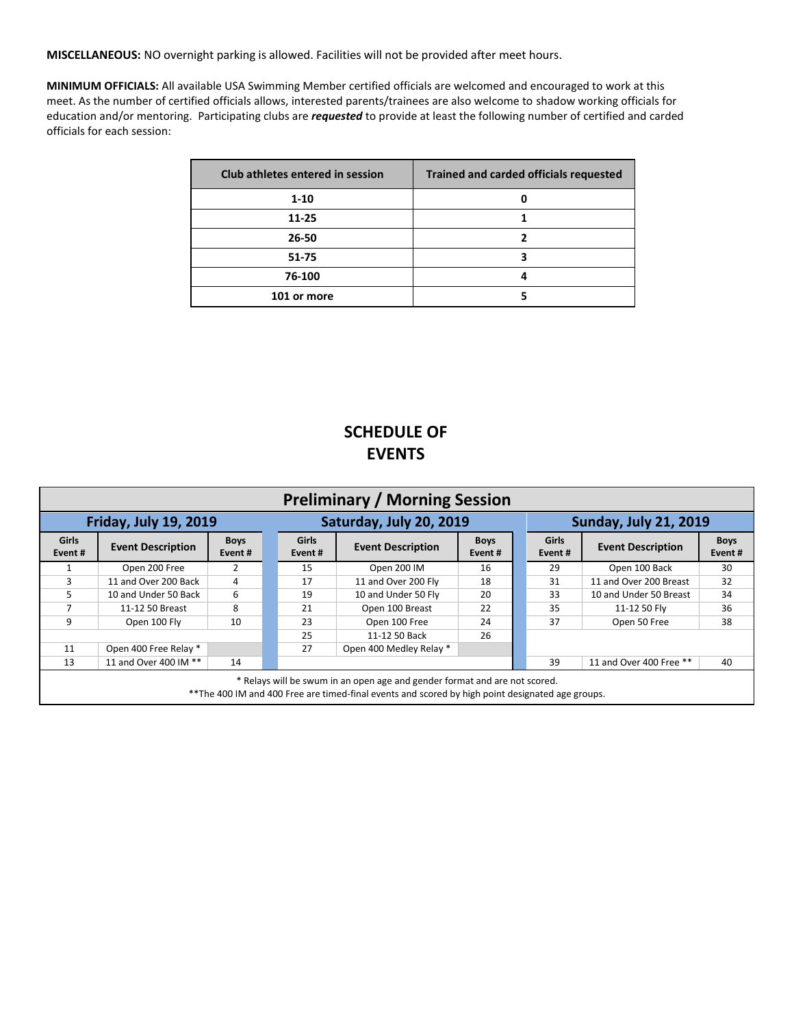**MISCELLANEOUS:** NO overnight parking is allowed. Facilities will not be provided after meet hours.

**MINIMUM OFFICIALS:** All available USA Swimming Member certified officials are welcomed and encouraged to work at this meet. As the number of certified officials allows, interested parents/trainees are also welcome to shadow working officials for education and/or mentoring. Participating clubs are *requested* to provide at least the following number of certified and carded officials for each session:

| Club athletes entered in session | <b>Trained and carded officials requested</b> |
|----------------------------------|-----------------------------------------------|
| $1 - 10$                         |                                               |
| 11-25                            |                                               |
| 26-50                            |                                               |
| 51-75                            |                                               |
| 76-100                           |                                               |
| 101 or more                      |                                               |

## **SCHEDULE OF EVENTS**

| <b>Preliminary / Morning Session</b>                                                                                                                                            |                          |                       |                        |                          |                       |  |                         |                              |                       |  |  |
|---------------------------------------------------------------------------------------------------------------------------------------------------------------------------------|--------------------------|-----------------------|------------------------|--------------------------|-----------------------|--|-------------------------|------------------------------|-----------------------|--|--|
| <b>Friday, July 19, 2019</b>                                                                                                                                                    |                          |                       |                        | Saturday, July 20, 2019  |                       |  |                         | <b>Sunday, July 21, 2019</b> |                       |  |  |
| <b>Girls</b><br>Event#                                                                                                                                                          | <b>Event Description</b> | <b>Boys</b><br>Event# | <b>Girls</b><br>Event# | <b>Event Description</b> | <b>Boys</b><br>Event# |  | <b>Girls</b><br>Event # | <b>Event Description</b>     | <b>Boys</b><br>Event# |  |  |
|                                                                                                                                                                                 | Open 200 Free            | 2                     | 15                     | Open 200 IM              | 16                    |  | 29                      | Open 100 Back                | 30                    |  |  |
| 3                                                                                                                                                                               | 11 and Over 200 Back     | 4                     | 17                     | 11 and Over 200 Fly      | 18                    |  | 31                      | 11 and Over 200 Breast       | 32                    |  |  |
| 5.                                                                                                                                                                              | 10 and Under 50 Back     | 6                     | 19                     | 10 and Under 50 Fly      | 20                    |  | 33                      | 10 and Under 50 Breast       | 34                    |  |  |
|                                                                                                                                                                                 | 11-12 50 Breast          | 8                     | 21                     | Open 100 Breast          | 22                    |  | 35                      | 11-12 50 Flv                 | 36                    |  |  |
| 9                                                                                                                                                                               | Open 100 Fly             | 10                    | 23                     | Open 100 Free            | 24                    |  | 37                      | Open 50 Free                 | 38                    |  |  |
|                                                                                                                                                                                 |                          |                       | 25                     | 11-12 50 Back            | 26                    |  |                         |                              |                       |  |  |
| 11                                                                                                                                                                              | Open 400 Free Relay *    |                       | 27                     | Open 400 Medley Relay *  |                       |  |                         |                              |                       |  |  |
| 13                                                                                                                                                                              | 11 and Over 400 IM **    | 14                    |                        |                          |                       |  | 39                      | 11 and Over 400 Free **      | 40                    |  |  |
| * Relays will be swum in an open age and gender format and are not scored.<br>** The 400 IM and 400 Free are timed-final events and scored by high point designated age groups. |                          |                       |                        |                          |                       |  |                         |                              |                       |  |  |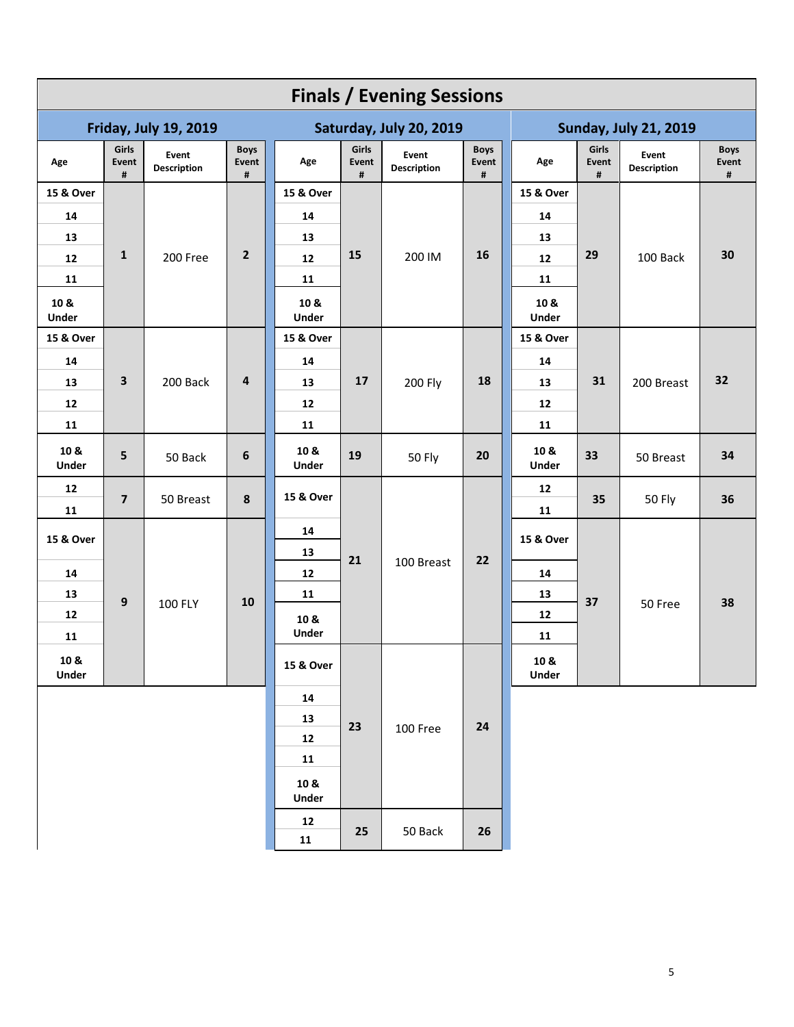| <b>Finals / Evening Sessions</b> |                         |                             |                           |                         |                     |                             |                           |                              |                     |                      |                           |  |
|----------------------------------|-------------------------|-----------------------------|---------------------------|-------------------------|---------------------|-----------------------------|---------------------------|------------------------------|---------------------|----------------------|---------------------------|--|
| <b>Friday, July 19, 2019</b>     |                         |                             |                           | Saturday, July 20, 2019 |                     |                             |                           | <b>Sunday, July 21, 2019</b> |                     |                      |                           |  |
| Age                              | Girls<br>Event<br>#     | Event<br><b>Description</b> | <b>Boys</b><br>Event<br># | Age                     | Girls<br>Event<br># | Event<br><b>Description</b> | <b>Boys</b><br>Event<br># | Age                          | Girls<br>Event<br># | Event<br>Description | <b>Boys</b><br>Event<br># |  |
| 15 & Over                        |                         |                             |                           | 15 & Over               |                     |                             |                           | 15 & Over                    |                     | 100 Back             | 30                        |  |
| 14                               |                         |                             |                           | 14                      |                     |                             |                           | 14                           |                     |                      |                           |  |
| 13                               |                         |                             |                           | 13                      |                     | 200 IM                      |                           | 13                           |                     |                      |                           |  |
| 12                               | 1                       | 200 Free                    | $\overline{2}$            | 12                      | 15                  |                             | 16                        | 12                           | 29                  |                      |                           |  |
| 11                               |                         |                             |                           | 11                      |                     |                             |                           | 11                           |                     |                      |                           |  |
| 10 &<br><b>Under</b>             |                         |                             |                           | 10 &<br>Under           |                     |                             |                           | 10 &<br>Under                |                     |                      |                           |  |
| 15 & Over                        |                         |                             |                           | 15 & Over               |                     |                             |                           | 15 & Over                    |                     | 200 Breast           | 32                        |  |
| 14                               |                         |                             | 4                         | 14                      | 17                  | <b>200 Fly</b>              |                           | 14                           | 31                  |                      |                           |  |
| 13                               | $\overline{\mathbf{3}}$ | 200 Back                    |                           | 13                      |                     |                             | 18                        | 13                           |                     |                      |                           |  |
| 12                               |                         |                             |                           | 12                      |                     |                             |                           | 12                           |                     |                      |                           |  |
| 11                               |                         |                             |                           | 11                      |                     |                             |                           | 11                           |                     |                      |                           |  |
| 10 &<br>Under                    | 5                       | 50 Back                     | 6                         | 10 &<br>Under           | 19                  | <b>50 Fly</b>               | 20                        | 10 &<br>Under                | 33                  | 50 Breast            | 34                        |  |
| 12<br>11                         | $\overline{7}$          | 50 Breast                   | $\pmb{8}$                 | 15 & Over               |                     | 100 Breast                  |                           | 12<br>11                     | 35                  | 50 Fly               | 36                        |  |
| 15 & Over                        |                         |                             |                           | 14                      |                     |                             |                           | 15 & Over                    | 37                  |                      | 38                        |  |
| 14                               |                         | 100 FLY                     |                           | 13<br>12                | 21                  |                             | 22                        | 14                           |                     |                      |                           |  |
| 13                               |                         |                             |                           | 11                      |                     |                             |                           | 13                           |                     |                      |                           |  |
| 12                               | 9                       |                             | 10                        | 10 &                    |                     |                             |                           | 12                           |                     | 50 Free              |                           |  |
| 11                               |                         |                             | <b>Under</b><br>15 & Over |                         |                     |                             |                           | 11                           |                     |                      |                           |  |
| 10 &<br>Under                    |                         |                             |                           |                         |                     |                             | 10 &<br><b>Under</b>      |                              |                     |                      |                           |  |
|                                  |                         |                             |                           | ${\bf 14}$              |                     |                             |                           |                              |                     |                      |                           |  |
|                                  |                         |                             |                           | 13                      | 23                  |                             | 24                        |                              |                     |                      |                           |  |
|                                  |                         |                             | 12                        |                         | 100 Free            |                             |                           |                              |                     |                      |                           |  |
|                                  |                         | 11                          |                           |                         |                     |                             |                           |                              |                     |                      |                           |  |
|                                  |                         |                             |                           | 10 &<br>Under           |                     |                             |                           |                              |                     |                      |                           |  |
|                                  |                         |                             | ${\bf 12}$                | 25                      | 50 Back             | 26                          |                           |                              |                     |                      |                           |  |
|                                  |                         |                             | ${\bf 11}$                |                         |                     |                             |                           |                              |                     |                      |                           |  |